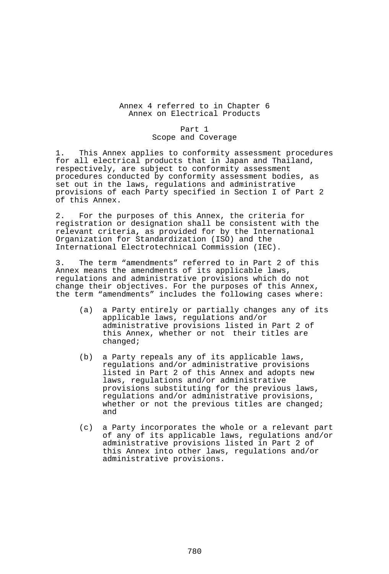### Annex 4 referred to in Chapter 6 Annex on Electrical Products

#### Part 1 Scope and Coverage

1. This Annex applies to conformity assessment procedures for all electrical products that in Japan and Thailand, respectively, are subject to conformity assessment procedures conducted by conformity assessment bodies, as set out in the laws, regulations and administrative provisions of each Party specified in Section I of Part 2 of this Annex.

2. For the purposes of this Annex, the criteria for registration or designation shall be consistent with the relevant criteria**,** as provided for by the International Organization for Standardization (ISO) and the International Electrotechnical Commission (IEC).

3. The term "amendments" referred to in Part 2 of this Annex means the amendments of its applicable laws, regulations and administrative provisions which do not change their objectives. For the purposes of this Annex, the term "amendments" includes the following cases where:

- (a) a Party entirely or partially changes any of its applicable laws, regulations and/or administrative provisions listed in Part 2 of this Annex, whether or not their titles are changed;
- (b) a Party repeals any of its applicable laws, regulations and/or administrative provisions listed in Part 2 of this Annex and adopts new laws, regulations and/or administrative provisions substituting for the previous laws, regulations and/or administrative provisions, whether or not the previous titles are changed; and
- (c) a Party incorporates the whole or a relevant part of any of its applicable laws, regulations and/or administrative provisions listed in Part 2 of this Annex into other laws, regulations and/or administrative provisions.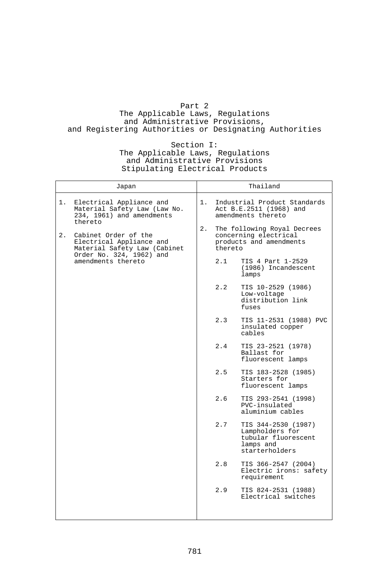# Part 2

The Applicable Laws, Regulations and Administrative Provisions, and Registering Authorities or Designating Authorities

## Section I:

### The Applicable Laws, Regulations and Administrative Provisions Stipulating Electrical Products

|                  | Japan                                                                                 |    |         | Thailand                                                                                     |
|------------------|---------------------------------------------------------------------------------------|----|---------|----------------------------------------------------------------------------------------------|
| 1.               | Electrical Appliance and<br>Material Safety Law (Law No.<br>234, 1961) and amendments | 1. |         | Industrial Product Standards<br>Act B.E.2511 (1968) and<br>amendments thereto                |
| thereto<br>$2$ . | Cabinet Order of the<br>Electrical Appliance and<br>Material Safety Law (Cabinet      | 2. | thereto | The following Royal Decrees<br>concerning electrical<br>products and amendments              |
|                  | Order No. 324, 1962) and<br>amendments thereto                                        |    | 2.1     | TIS 4 Part 1-2529<br>(1986) Incandescent<br>lamps                                            |
|                  |                                                                                       |    | 2.2     | TIS 10-2529 (1986)<br>Low-voltage<br>distribution link<br>fuses                              |
|                  |                                                                                       |    | 2.3     | TIS 11-2531 (1988) PVC<br>insulated copper<br>cables                                         |
|                  |                                                                                       |    | 2.4     | TIS 23-2521 (1978)<br>Ballast for<br>fluorescent lamps                                       |
|                  |                                                                                       |    | 2.5     | TIS 183-2528 (1985)<br>Starters for<br>fluorescent lamps                                     |
|                  |                                                                                       |    | 2.6     | TIS 293-2541 (1998)<br>PVC-insulated<br>aluminium cables                                     |
|                  |                                                                                       |    | 2.7     | TIS 344-2530 (1987)<br>Lampholders for<br>tubular fluorescent<br>lamps and<br>starterholders |
|                  |                                                                                       |    | 2.8     | TIS 366-2547 (2004)<br>Electric irons: safety<br>requirement                                 |
|                  |                                                                                       |    | 2.9     | TIS 824-2531 (1988)<br>Electrical switches                                                   |
|                  |                                                                                       |    |         |                                                                                              |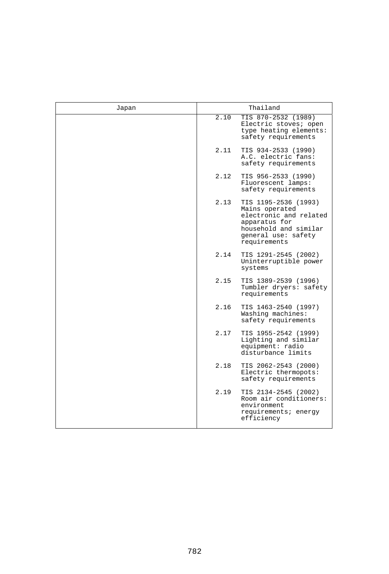| Japan | Thailand                                                                                                                                                  |
|-------|-----------------------------------------------------------------------------------------------------------------------------------------------------------|
|       | TIS 870-2532 (1989)<br>2.10<br>Electric stoves; open<br>type heating elements:<br>safety requirements                                                     |
|       | 2.11<br>TIS 934-2533 (1990)<br>A.C. electric fans:<br>safety requirements                                                                                 |
|       | 2.12<br>TIS 956-2533 (1990)<br>Fluorescent lamps:<br>safety requirements                                                                                  |
|       | 2.13<br>TIS 1195-2536 (1993)<br>Mains operated<br>electronic and related<br>apparatus for<br>household and similar<br>general use: safety<br>requirements |
|       | 2.14<br>TIS 1291-2545 (2002)<br>Uninterruptible power<br>systems                                                                                          |
|       | 2.15<br>TIS 1389-2539 (1996)<br>Tumbler dryers: safety<br>requirements                                                                                    |
|       | 2.16<br>TIS 1463-2540 (1997)<br>Washing machines:<br>safety requirements                                                                                  |
|       | 2.17<br>TIS 1955-2542 (1999)<br>Lighting and similar<br>equipment: radio<br>disturbance limits                                                            |
|       | 2.18<br>TIS 2062-2543 (2000)<br>Electric thermopots:<br>safety requirements                                                                               |
|       | 2.19<br>TIS 2134-2545 (2002)<br>Room air conditioners:<br>environment<br>requirements; energy<br>efficiency                                               |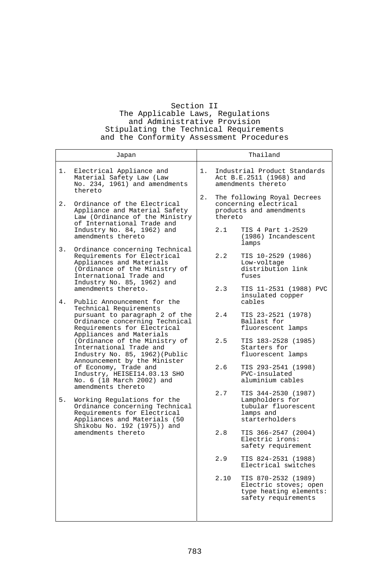## Section II The Applicable Laws, Regulations and Administrative Provision Stipulating the Technical Requirements and the Conformity Assessment Procedures

| Japan                                                                                                                                                                                     | Thailand                                                                                              |
|-------------------------------------------------------------------------------------------------------------------------------------------------------------------------------------------|-------------------------------------------------------------------------------------------------------|
| Electrical Appliance and<br>1.<br>Material Safety Law (Law<br>No. 234, 1961) and amendments<br>thereto                                                                                    | Industrial Product Standards<br>1.<br>Act B.E.2511 (1968) and<br>amendments thereto                   |
| Ordinance of the Electrical<br>2.<br>Appliance and Material Safety<br>Law (Ordinance of the Ministry<br>of International Trade and                                                        | 2.<br>The following Royal Decrees<br>concerning electrical<br>products and amendments<br>thereto      |
| Industry No. 84, 1962) and<br>amendments thereto                                                                                                                                          | 2.1<br>TIS 4 Part 1-2529<br>(1986) Incandescent<br>lamps                                              |
| 3.<br>Ordinance concerning Technical<br>Requirements for Electrical<br>Appliances and Materials<br>(Ordinance of the Ministry of<br>International Trade and<br>Industry No. 85, 1962) and | 2.2<br>TIS 10-2529 (1986)<br>Low-voltage<br>distribution link<br>fuses                                |
| amendments thereto.<br>4.<br>Public Announcement for the                                                                                                                                  | 2.3<br>TIS 11-2531 (1988) PVC<br>insulated copper<br>cables                                           |
| Technical Requirements<br>pursuant to paragraph 2 of the<br>Ordinance concerning Technical<br>Requirements for Electrical<br>Appliances and Materials                                     | 2.4<br>TIS 23-2521 (1978)<br>Ballast for<br>fluorescent lamps                                         |
| (Ordinance of the Ministry of<br>International Trade and<br>Industry No. 85, 1962) (Public<br>Announcement by the Minister                                                                | 2.5<br>TIS 183-2528 (1985)<br>Starters for<br>fluorescent lamps                                       |
| of Economy, Trade and<br>Industry, HEISEI14.03.13 SHO<br>No. 6 (18 March 2002) and<br>amendments thereto                                                                                  | 2.6<br>TIS 293-2541 (1998)<br>PVC-insulated<br>aluminium cables                                       |
| 5.<br>Working Regulations for the<br>Ordinance concerning Technical<br>Requirements for Electrical<br>Appliances and Materials (50<br>Shikobu No. 192 (1975)) and                         | 2.7<br>TIS 344-2530 (1987)<br>Lampholders for<br>tubular fluorescent<br>lamps and<br>starterholders   |
| amendments thereto                                                                                                                                                                        | 2.8<br>TIS 366-2547 (2004)<br>Electric irons:<br>safety requirement                                   |
|                                                                                                                                                                                           | 2.9<br>TIS 824-2531 (1988)<br>Electrical switches                                                     |
|                                                                                                                                                                                           | 2.10<br>TIS 870-2532 (1989)<br>Electric stoves; open<br>type heating elements:<br>safety requirements |
|                                                                                                                                                                                           |                                                                                                       |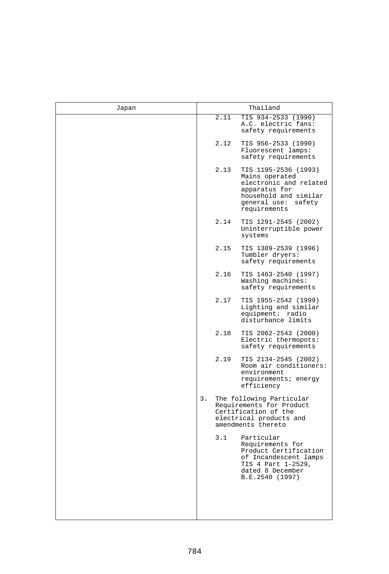| Japan | Thailand                                                                                                                                                  |
|-------|-----------------------------------------------------------------------------------------------------------------------------------------------------------|
|       | 2.11<br>TIS 934-2533 (1990)<br>A.C. electric fans:<br>safety requirements                                                                                 |
|       | 2.12<br>TIS 956-2533 (1990)<br>Fluorescent lamps:<br>safety requirements                                                                                  |
|       | 2.13<br>TIS 1195-2536 (1993)<br>Mains operated<br>electronic and related<br>apparatus for<br>household and similar<br>general use: safety<br>requirements |
|       | 2.14<br>TIS 1291-2545 (2002)<br>Uninterruptible power<br>systems                                                                                          |
|       | 2.15<br>TIS 1389-2539 (1996)<br>Tumbler dryers:<br>safety requirements                                                                                    |
|       | 2.16<br>TIS 1463-2540 (1997)<br>Washing machines:<br>safety requirements                                                                                  |
|       | 2.17<br>TIS 1955-2542 (1999)<br>Lighting and similar<br>equipment: radio<br>disturbance limits                                                            |
|       | 2.18<br>TIS 2062-2543 (2000)<br>Electric thermopots:<br>safety requirements                                                                               |
|       | 2.19<br>TIS 2134-2545 (2002)<br>Room air conditioners:<br>environment<br>requirements; energy<br>efficiency                                               |
|       | 3.<br>The following Particular<br>Requirements for Product<br>Certification of the<br>electrical products and<br>amendments thereto                       |
|       | 3.1<br>Particular<br>Requirements for<br>Product Certification<br>of Incandescent lamps<br>TIS 4 Part 1-2529,<br>dated 8 December<br>B.E.2540 (1997)      |
|       |                                                                                                                                                           |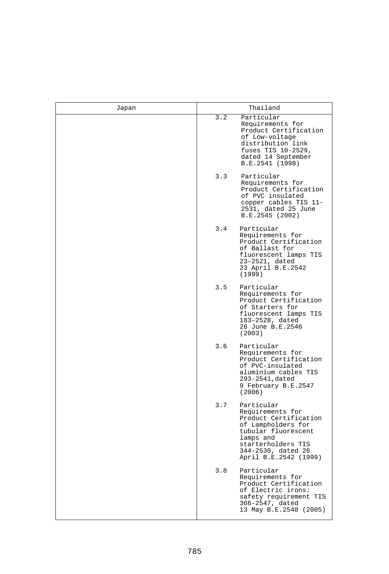| Japan | Thailand                                                                                                                                                                                      |
|-------|-----------------------------------------------------------------------------------------------------------------------------------------------------------------------------------------------|
|       | 3.2<br>Particular<br>Requirements for<br>Product Certification<br>of Low-voltage<br>distribution link<br>fuses TIS 10-2529,<br>dated 14 September<br>B.E.2541 (1998)                          |
|       | 3.3<br>Particular<br>Requirements for<br>Product Certification<br>of PVC insulated<br>copper cables TIS 11-<br>2531, dated 25 June<br>B.E.2545 (2002)                                         |
|       | 3.4<br>Particular<br>Requirements for<br>Product Certification<br>of Ballast for<br>fluorescent lamps TIS<br>23-2521, dated<br>23 April B.E.2542<br>(1999)                                    |
|       | 3.5<br>Particular<br>Requirements for<br>Product Certification<br>of Starters for<br>fluorescent lamps TIS<br>183-2528, dated<br>26 June B.E.2546<br>(2003)                                   |
|       | 3.6<br>Particular<br>Requirements for<br>Product Certification<br>of PVC-insulated<br>aluminium cables TIS<br>293-2541, dated<br>9 February B.E.2547<br>(2006)                                |
|       | 3.7<br>Particular<br>Requirements for<br>Product Certification<br>of Lampholders for<br>tubular fluorescent<br>lamps and<br>starterholders TIS<br>344-2530, dated 26<br>April B.E.2542 (1999) |
|       | 3.8<br>Particular<br>Requirements for<br>Product Certification<br>of Electric irons:<br>safety requirement TIS<br>366-2547, dated<br>13 May B.E.2548 (2005)                                   |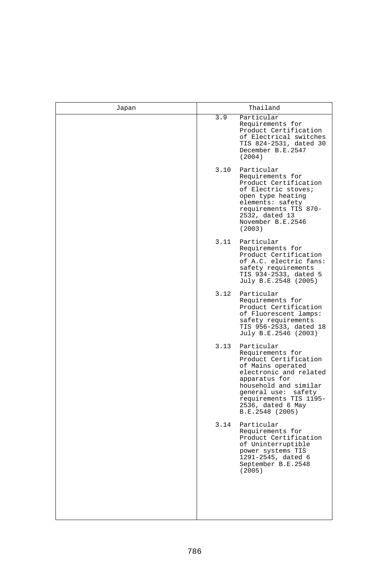| Japan | Thailand                                                                                                                                                                                                                                          |
|-------|---------------------------------------------------------------------------------------------------------------------------------------------------------------------------------------------------------------------------------------------------|
|       | Particular<br>3.9<br>Requirements for<br>Product Certification<br>of Electrical switches<br>TIS 824-2531, dated 30<br>December B.E.2547<br>(2004)                                                                                                 |
|       | 3.10<br>Particular<br>Requirements for<br>Product Certification<br>of Electric stoves;<br>open type heating<br>elements: safety<br>requirements TIS 870-<br>2532, dated 13<br>November B.E.2546<br>(2003)                                         |
|       | 3.11<br>Particular<br>Requirements for<br>Product Certification<br>of A.C. electric fans:<br>safety requirements<br>TIS 934-2533, dated 5<br>July B.E.2548 (2005)                                                                                 |
|       | 3.12<br>Particular<br>Requirements for<br>Product Certification<br>of Fluorescent lamps:<br>safety requirements<br>TIS 956-2533, dated 18<br>July B.E.2546 (2003)                                                                                 |
|       | 3.13<br>Particular<br>Requirements for<br>Product Certification<br>of Mains operated<br>electronic and related<br>apparatus for<br>household and similar<br>general use: safety<br>requirements TIS 1195-<br>2536, dated 6 May<br>B.E.2548 (2005) |
|       | 3.14<br>Particular<br>Requirements for<br>Product Certification<br>of Uninterruptible<br>power systems TIS<br>1291-2545, dated 6<br>September B.E.2548<br>(2005)                                                                                  |
|       |                                                                                                                                                                                                                                                   |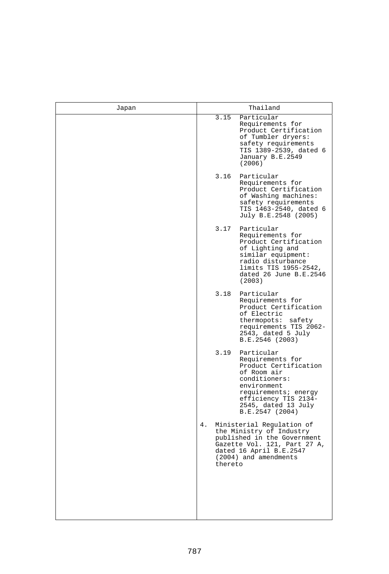| Japan | Thailand                                                                                                                                                                                                 |
|-------|----------------------------------------------------------------------------------------------------------------------------------------------------------------------------------------------------------|
|       | 3.15<br>Particular<br>Requirements for<br>Product Certification<br>of Tumbler dryers:<br>safety requirements<br>TIS 1389-2539, dated 6<br>January B.E.2549<br>(2006)                                     |
|       | 3.16<br>Particular<br>Requirements for<br>Product Certification<br>of Washing machines:<br>safety requirements<br>TIS 1463-2540, dated 6<br>July B.E.2548 (2005)                                         |
|       | 3.17<br>Particular<br>Requirements for<br>Product Certification<br>of Lighting and<br>similar equipment:<br>radio disturbance<br>limits TIS 1955-2542,<br>dated 26 June B.E.2546<br>(2003)               |
|       | 3.18<br>Particular<br>Requirements for<br>Product Certification<br>of Electric<br>thermopots: safety<br>requirements TIS 2062-<br>2543, dated 5 July<br>B.E.2546 (2003)                                  |
|       | 3.19<br>Particular<br>Requirements for<br>Product Certification<br>of Room air<br>conditioners:<br>environment<br>requirements; energy<br>efficiency TIS 2134-<br>2545, dated 13 July<br>B.E.2547 (2004) |
|       | 4.<br>Ministerial Regulation of<br>the Ministry of Industry<br>published in the Government<br>Gazette Vol. 121, Part 27 A,<br>dated 16 April B.E.2547<br>(2004) and amendments<br>thereto                |
|       |                                                                                                                                                                                                          |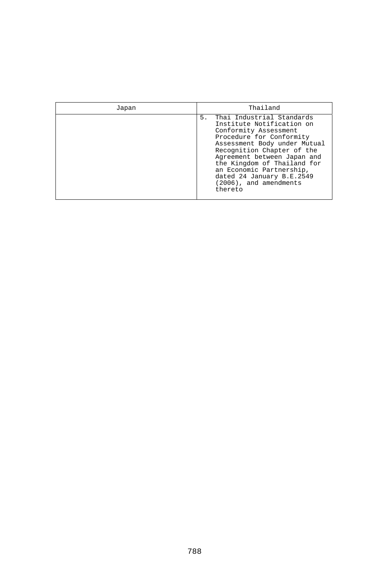| Japan | Thailand                                                                                                                                                                                                                                                                                                                                    |
|-------|---------------------------------------------------------------------------------------------------------------------------------------------------------------------------------------------------------------------------------------------------------------------------------------------------------------------------------------------|
|       | Thai Industrial Standards<br>5.<br>Institute Notification on<br>Conformity Assessment<br>Procedure for Conformity<br>Assessment Body under Mutual<br>Recognition Chapter of the<br>Agreement between Japan and<br>the Kingdom of Thailand for<br>an Economic Partnership,<br>dated 24 January B.E.2549<br>(2006), and amendments<br>thereto |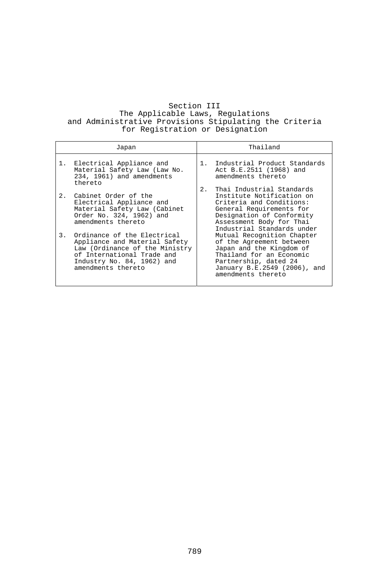## Section III The Applicable Laws, Regulations and Administrative Provisions Stipulating the Criteria for Registration or Designation

| Japan                                                                                                                                                                                                                                                                                                                              | Thailand                                                                                                                                                                                                                                                                                                                                                                                                     |  |
|------------------------------------------------------------------------------------------------------------------------------------------------------------------------------------------------------------------------------------------------------------------------------------------------------------------------------------|--------------------------------------------------------------------------------------------------------------------------------------------------------------------------------------------------------------------------------------------------------------------------------------------------------------------------------------------------------------------------------------------------------------|--|
| 1. Electrical Appliance and<br>Material Safety Law (Law No.<br>234, 1961) and amendments<br>thereto                                                                                                                                                                                                                                | Industrial Product Standards<br>1.<br>Act B.E.2511 (1968) and<br>amendments thereto                                                                                                                                                                                                                                                                                                                          |  |
| Cabinet Order of the<br>2.<br>Electrical Appliance and<br>Material Safety Law (Cabinet<br>Order No. 324, 1962) and<br>amendments thereto<br>Ordinance of the Electrical<br>3.<br>Appliance and Material Safety<br>Law (Ordinance of the Ministry<br>of International Trade and<br>Industry No. 84, 1962) and<br>amendments thereto | Thai Industrial Standards<br>2.<br>Institute Notification on<br>Criteria and Conditions:<br>General Requirements for<br>Designation of Conformity<br>Assessment Body for Thai<br>Industrial Standards under<br>Mutual Recognition Chapter<br>of the Agreement between<br>Japan and the Kingdom of<br>Thailand for an Economic<br>Partnership, dated 24<br>January B.E.2549 (2006), and<br>amendments thereto |  |